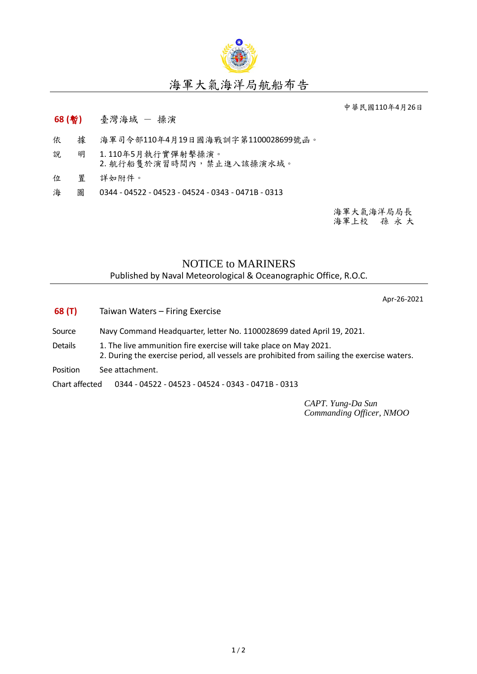

## 海軍大氣海洋局航船布告

中華民國110年4月26日

- **68 (**暫**)** 臺灣海域 操演
- 依 據 海軍司令部110年4月19日國海戰訓字第1100028699號函。
- 說 明 1. 110年5月執行實彈射擊操演。 2. 航行船隻於演習時間內,禁止進入該操演水域。
- 位 置 詳如附件。
- 海 圖 0344 04522 04523 04524 0343 0471B 0313

海軍大氣海洋局局長 海軍上校 孫 永 大

## NOTICE to MARINERS

Published by Naval Meteorological & Oceanographic Office, R.O.C.

Apr-26-2021

- **68 (T)** Taiwan Waters Firing Exercise
- Source Navy Command Headquarter, letter No. 1100028699 dated April 19, 2021.
- Details 1. The live ammunition fire exercise will take place on May 2021. 2. During the exercise period, all vessels are prohibited from sailing the exercise waters.
- Position See attachment.

Chart affected 0344 - 04522 - 04523 - 04524 - 0343 - 0471B - 0313

*CAPT. Yung-Da Sun Commanding Officer, NMOO*